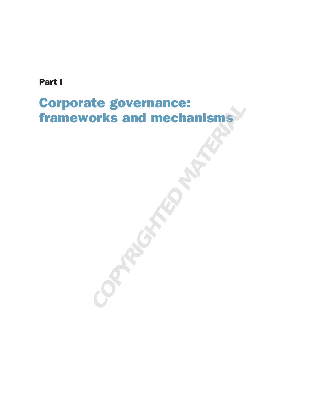Part I

Corporate governance: frameworks and mechanisms

**CONTRACTES**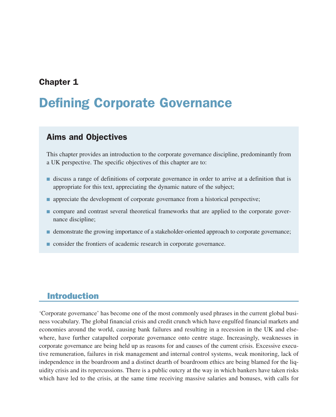# **Chapter 1**

# Defining Corporate Governance

# Aims and Objectives

This chapter provides an introduction to the corporate governance discipline, predominantly from a UK perspective. The specific objectives of this chapter are to:

- discuss a range of definitions of corporate governance in order to arrive at a definition that is appropriate for this text, appreciating the dynamic nature of the subject;
- appreciate the development of corporate governance from a historical perspective;
- compare and contrast several theoretical frameworks that are applied to the corporate governance discipline;
- demonstrate the growing importance of a stakeholder-oriented approach to corporate governance;
- consider the frontiers of academic research in corporate governance.

## Introduction

'Corporate governance' has become one of the most commonly used phrases in the current global business vocabulary. The global financial crisis and credit crunch which have engulfed financial markets and economies around the world, causing bank failures and resulting in a recession in the UK and elsewhere, have further catapulted corporate governance onto centre stage. Increasingly, weaknesses in corporate governance are being held up as reasons for and causes of the current crisis. Excessive executive remuneration, failures in risk management and internal control systems, weak monitoring, lack of independence in the boardroom and a distinct dearth of boardroom ethics are being blamed for the liquidity crisis and its repercussions. There is a public outcry at the way in which bankers have taken risks which have led to the crisis, at the same time receiving massive salaries and bonuses, with calls for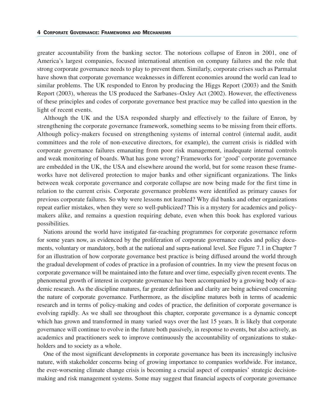greater accountability from the banking sector. The notorious collapse of Enron in 2001, one of America's largest companies, focused international attention on company failures and the role that strong corporate governance needs to play to prevent them. Similarly, corporate crises such as Parmalat have shown that corporate governance weaknesses in different economies around the world can lead to similar problems. The UK responded to Enron by producing the Higgs Report (2003) and the Smith Report (2003), whereas the US produced the Sarbanes–Oxley Act (2002). However, the effectiveness of these principles and codes of corporate governance best practice may be called into question in the light of recent events.

Although the UK and the USA responded sharply and effectively to the failure of Enron, by strengthening the corporate governance framework, something seems to be missing from their efforts. Although policy-makers focused on strengthening systems of internal control (internal audit, audit committees and the role of non-executive directors, for example), the current crisis is riddled with corporate governance failures emanating from poor risk management, inadequate internal controls and weak monitoring of boards. What has gone wrong? Frameworks for 'good' corporate governance are embedded in the UK, the USA and elsewhere around the world, but for some reason these frameworks have not delivered protection to major banks and other significant organizations. The links between weak corporate governance and corporate collapse are now being made for the first time in relation to the current crisis. Corporate governance problems were identified as primary causes for previous corporate failures. So why were lessons not learned? Why did banks and other organizations repeat earlier mistakes, when they were so well-publicized? This is a mystery for academics and policymakers alike, and remains a question requiring debate, even when this book has explored various possibilities.

Nations around the world have instigated far-reaching programmes for corporate governance reform for some years now, as evidenced by the proliferation of corporate governance codes and policy documents, voluntary or mandatory, both at the national and supra-national level. See Figure 7.1 in Chapter 7 for an illustration of how corporate governance best practice is being diffused around the world through the gradual development of codes of practice in a profusion of countries. In my view the present focus on corporate governance will be maintained into the future and over time, especially given recent events. The phenomenal growth of interest in corporate governance has been accompanied by a growing body of academic research. As the discipline matures, far greater definition and clarity are being achieved concerning the nature of corporate governance. Furthermore, as the discipline matures both in terms of academic research and in terms of policy-making and codes of practice, the definition of corporate governance is evolving rapidly. As we shall see throughout this chapter, corporate governance is a dynamic concept which has grown and transformed in many varied ways over the last 15 years. It is likely that corporate governance will continue to evolve in the future both passively, in response to events, but also actively, as academics and practitioners seek to improve continuously the accountability of organizations to stakeholders and to society as a whole.

One of the most significant developments in corporate governance has been its increasingly inclusive nature, with stakeholder concerns being of growing importance to companies worldwide. For instance, the ever-worsening climate change crisis is becoming a crucial aspect of companies' strategic decisionmaking and risk management systems. Some may suggest that financial aspects of corporate governance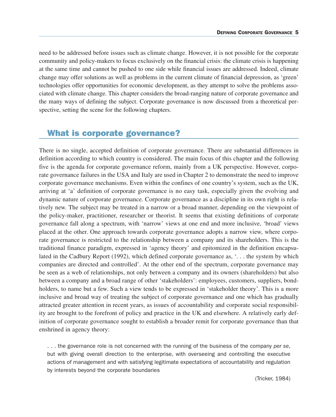need to be addressed before issues such as climate change. However, it is not possible for the corporate community and policy-makers to focus exclusively on the financial crisis: the climate crisis is happening at the same time and cannot be pushed to one side while financial issues are addressed. Indeed, climate change may offer solutions as well as problems in the current climate of financial depression, as 'green' technologies offer opportunities for economic development, as they attempt to solve the problems associated with climate change. This chapter considers the broad-ranging nature of corporate governance and the many ways of defining the subject. Corporate governance is now discussed from a theoretical perspective, setting the scene for the following chapters.

# What is corporate governance?

There is no single, accepted definition of corporate governance. There are substantial differences in definition according to which country is considered. The main focus of this chapter and the following five is the agenda for corporate governance reform, mainly from a UK perspective. However, corporate governance failures in the USA and Italy are used in Chapter 2 to demonstrate the need to improve corporate governance mechanisms. Even within the confines of one country's system, such as the UK, arriving at 'a' definition of corporate governance is no easy task, especially given the evolving and dynamic nature of corporate governance. Corporate governance as a discipline in its own right is relatively new. The subject may be treated in a narrow or a broad manner, depending on the viewpoint of the policy-maker, practitioner, researcher or theorist. It seems that existing definitions of corporate governance fall along a spectrum, with 'narrow' views at one end and more inclusive, 'broad' views placed at the other. One approach towards corporate governance adopts a narrow view, where corporate governance is restricted to the relationship between a company and its shareholders. This is the traditional finance paradigm, expressed in 'agency theory' and epitomized in the definition encapsulated in the Cadbury Report (1992), which defined corporate governance as, '. . . the system by which companies are directed and controlled'. At the other end of the spectrum, corporate governance may be seen as a web of relationships, not only between a company and its owners (shareholders) but also between a company and a broad range of other 'stakeholders': employees, customers, suppliers, bondholders, to name but a few. Such a view tends to be expressed in 'stakeholder theory'. This is a more inclusive and broad way of treating the subject of corporate governance and one which has gradually attracted greater attention in recent years, as issues of accountability and corporate social responsibility are brought to the forefront of policy and practice in the UK and elsewhere. A relatively early definition of corporate governance sought to establish a broader remit for corporate governance than that enshrined in agency theory:

. . . the governance role is not concerned with the running of the business of the company *per se*, but with giving overall direction to the enterprise, with overseeing and controlling the executive actions of management and with satisfying legitimate expectations of accountability and regulation by interests beyond the corporate boundaries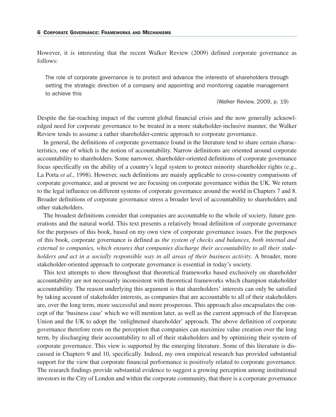However, it is interesting that the recent Walker Review (2009) defined corporate governance as follows:

The role of corporate governance is to protect and advance the interests of shareholders through setting the strategic direction of a company and appointing and monitoring capable management to achieve this

(Walker Review, 2009, p. 19)

Despite the far-reaching impact of the current global financial crisis and the now generally acknowledged need for corporate governance to be treated in a more stakeholder-inclusive manner, the Walker Review tends to assume a rather shareholder-centric approach to corporate governance.

In general, the definitions of corporate governance found in the literature tend to share certain characteristics, one of which is the notion of accountability. Narrow definitions are oriented around corporate accountability to shareholders. Some narrower, shareholder-oriented definitions of corporate governance focus specifically on the ability of a country's legal system to protect minority shareholder rights (e.g., La Porta *et al*., 1998). However, such definitions are mainly applicable to cross-country comparisons of corporate governance, and at present we are focusing on corporate governance within the UK. We return to the legal influence on different systems of corporate governance around the world in Chapters 7 and 8. Broader definitions of corporate governance stress a broader level of accountability to shareholders and other stakeholders.

The broadest definitions consider that companies are accountable to the whole of society, future generations and the natural world. This text presents a relatively broad definition of corporate governance for the purposes of this book, based on my own view of corporate governance issues. For the purposes of this book, corporate governance is defined as *the system of checks and balances, both internal and external to companies, which ensures that companies discharge their accountability to all their stakeholders and act in a socially responsible way in all areas of their business activity*. A broader, more stakeholder-oriented approach to corporate governance is essential in today's society.

This text attempts to show throughout that theoretical frameworks based exclusively on shareholder accountability are not necessarily inconsistent with theoretical frameworks which champion stakeholder accountability. The reason underlying this argument is that shareholders' interests can only be satisfied by taking account of stakeholder interests, as companies that are accountable to all of their stakeholders are, over the long term, more successful and more prosperous. This approach also encapsulates the concept of the 'business case' which we will mention later, as well as the current approach of the European Union and the UK to adopt the 'enlightened shareholder' approach. The above definition of corporate governance therefore rests on the perception that companies can maximize value creation over the long term, by discharging their accountability to all of their stakeholders and by optimizing their system of corporate governance. This view is supported by the emerging literature. Some of this literature is discussed in Chapters 9 and 10, specifically. Indeed, my own empirical research has provided substantial support for the view that corporate financial performance is positively related to corporate governance. The research findings provide substantial evidence to suggest a growing perception among institutional investors in the City of London and within the corporate community, that there is a corporate governance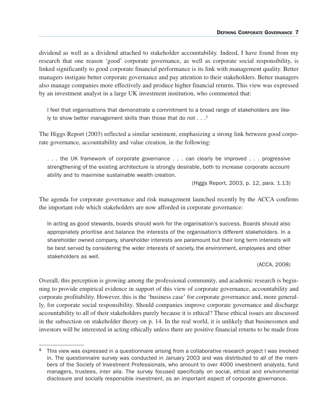dividend as well as a dividend attached to stakeholder accountability. Indeed, I have found from my research that one reason 'good' corporate governance, as well as corporate social responsibility, is linked significantly to good corporate financial performance is its link with management quality. Better managers instigate better corporate governance and pay attention to their stakeholders. Better managers also manage companies more effectively and produce higher financial returns. This view was expressed by an investment analyst in a large UK investment institution, who commented that:

I feel that organisations that demonstrate a commitment to a broad range of stakeholders are likely to show better management skills than those that do not  $\dots$ <sup>1</sup>

The Higgs Report (2003) reflected a similar sentiment, emphasizing a strong link between good corporate governance, accountability and value creation, in the following:

. . . the UK framework of corporate governance . . . can clearly be improved . . . progressive strengthening of the existing architecture is strongly desirable, both to increase corporate accountability and to maximise sustainable wealth creation.

(Higgs Report, 2003, p. 12, para. 1.13)

The agenda for corporate governance and risk management launched recently by the ACCA confirms the important role which stakeholders are now afforded in corporate governance:

In acting as good stewards, boards should work for the organisation's success. Boards should also appropriately prioritise and balance the interests of the organisation's different stakeholders. In a shareholder owned company, shareholder interests are paramount but their long term interests will be best served by considering the wider interests of society, the environment, employees and other stakeholders as well.

(ACCA, 2008)

Overall, this perception is growing among the professional community, and academic research is beginning to provide empirical evidence in support of this view of corporate governance, accountability and corporate profitability. However, this is the 'business case' for corporate governance and, more generally, for corporate social responsibility. Should companies improve corporate governance and discharge accountability to all of their stakeholders purely because it is ethical? These ethical issues are discussed in the subsection on stakeholder theory on p. 14. In the real world, it is unlikely that businessmen and investors will be interested in acting ethically unless there are positive financial returns to be made from

<sup>&</sup>lt;sup>1</sup> This view was expressed in a questionnaire arising from a collaborative research project I was involved in. The questionnaire survey was conducted in January 2003 and was distributed to all of the members of the Society of Investment Professionals, who amount to over 4000 investment analysts, fund managers, trustees, *inter alia*. The survey focused specifically on social, ethical and environmental disclosure and socially responsible investment, as an important aspect of corporate governance.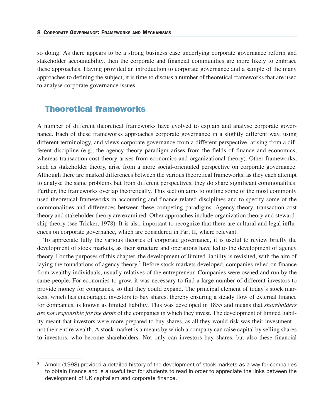so doing. As there appears to be a strong business case underlying corporate governance reform and stakeholder accountability, then the corporate and financial communities are more likely to embrace these approaches. Having provided an introduction to corporate governance and a sample of the many approaches to defining the subject, it is time to discuss a number of theoretical frameworks that are used to analyse corporate governance issues.

### Theoretical frameworks

A number of different theoretical frameworks have evolved to explain and analyse corporate governance. Each of these frameworks approaches corporate governance in a slightly different way, using different terminology, and views corporate governance from a different perspective, arising from a different discipline (e.g., the agency theory paradigm arises from the fields of finance and economics, whereas transaction cost theory arises from economics and organizational theory). Other frameworks, such as stakeholder theory, arise from a more social-orientated perspective on corporate governance. Although there are marked differences between the various theoretical frameworks, as they each attempt to analyse the same problems but from different perspectives, they do share significant commonalities. Further, the frameworks overlap theoretically. This section aims to outline some of the most commonly used theoretical frameworks in accounting and finance-related disciplines and to specify some of the commonalities and differences between these competing paradigms. Agency theory, transaction cost theory and stakeholder theory are examined. Other approaches include organization theory and stewardship theory (see Tricker, 1978). It is also important to recognize that there are cultural and legal influences on corporate governance, which are considered in Part II, where relevant.

To appreciate fully the various theories of corporate governance, it is useful to review briefly the development of stock markets, as their structure and operations have led to the development of agency theory. For the purposes of this chapter, the development of limited liability is revisited, with the aim of laying the foundations of agency theory.<sup>2</sup> Before stock markets developed, companies relied on finance from wealthy individuals, usually relatives of the entrepreneur. Companies were owned and run by the same people. For economies to grow, it was necessary to find a large number of different investors to provide money for companies, so that they could expand. The principal element of today's stock markets, which has encouraged investors to buy shares, thereby ensuring a steady flow of external finance for companies, is known as limited liability. This was developed in 1855 and means that *shareholders are not responsible for the debts* of the companies in which they invest. The development of limited liability meant that investors were more prepared to buy shares, as all they would risk was their investment – not their entire wealth. A stock market is a means by which a company can raise capital by selling shares to investors, who become shareholders. Not only can investors buy shares, but also these financial

<sup>2</sup> Arnold (1998) provided a detailed history of the development of stock markets as a way for companies to obtain finance and is a useful text for students to read in order to appreciate the links between the development of UK capitalism and corporate finance.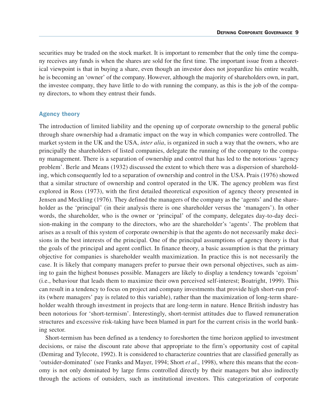securities may be traded on the stock market. It is important to remember that the only time the company receives any funds is when the shares are sold for the first time. The important issue from a theoretical viewpoint is that in buying a share, even though an investor does not jeopardize his entire wealth, he is becoming an 'owner' of the company. However, although the majority of shareholders own, in part, the investee company, they have little to do with running the company, as this is the job of the company directors, to whom they entrust their funds.

#### Agency theory

The introduction of limited liability and the opening up of corporate ownership to the general public through share ownership had a dramatic impact on the way in which companies were controlled. The market system in the UK and the USA, *inter alia*, is organized in such a way that the owners, who are principally the shareholders of listed companies, delegate the running of the company to the company management. There is a separation of ownership and control that has led to the notorious 'agency problem'. Berle and Means (1932) discussed the extent to which there was a dispersion of shareholding, which consequently led to a separation of ownership and control in the USA. Prais (1976) showed that a similar structure of ownership and control operated in the UK. The agency problem was first explored in Ross (1973), with the first detailed theoretical exposition of agency theory presented in Jensen and Meckling (1976). They defined the managers of the company as the 'agents' and the shareholder as the 'principal' (in their analysis there is one shareholder versus the 'managers'). In other words, the shareholder, who is the owner or 'principal' of the company, delegates day-to-day decision-making in the company to the directors, who are the shareholder's 'agents'. The problem that arises as a result of this system of corporate ownership is that the agents do not necessarily make decisions in the best interests of the principal. One of the principal assumptions of agency theory is that the goals of the principal and agent conflict. In finance theory, a basic assumption is that the primary objective for companies is shareholder wealth maximization. In practice this is not necessarily the case. It is likely that company managers prefer to pursue their own personal objectives, such as aiming to gain the highest bonuses possible. Managers are likely to display a tendency towards 'egoism' (i.e., behaviour that leads them to maximize their own perceived self-interest; Boatright, 1999). This can result in a tendency to focus on project and company investments that provide high short-run profits (where managers' pay is related to this variable), rather than the maximization of long-term shareholder wealth through investment in projects that are long-term in nature. Hence British industry has been notorious for 'short-termism'. Interestingly, short-termist attitudes due to flawed remuneration structures and excessive risk-taking have been blamed in part for the current crisis in the world banking sector.

Short-termism has been defined as a tendency to foreshorten the time horizon applied to investment decisions, or raise the discount rate above that appropriate to the firm's opportunity cost of capital (Demirag and Tylecote, 1992). It is considered to characterize countries that are classified generally as 'outsider-dominated' (see Franks and Mayer, 1994; Short *et al*., 1998), where this means that the economy is not only dominated by large firms controlled directly by their managers but also indirectly through the actions of outsiders, such as institutional investors. This categorization of corporate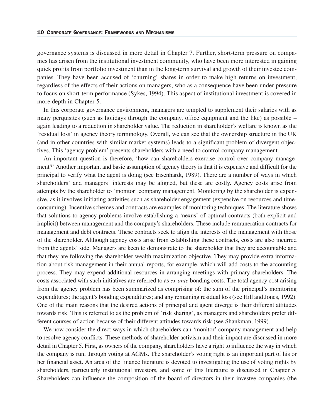governance systems is discussed in more detail in Chapter 7. Further, short-term pressure on companies has arisen from the institutional investment community, who have been more interested in gaining quick profits from portfolio investment than in the long-term survival and growth of their investee companies. They have been accused of 'churning' shares in order to make high returns on investment, regardless of the effects of their actions on managers, who as a consequence have been under pressure to focus on short-term performance (Sykes, 1994). This aspect of institutional investment is covered in more depth in Chapter 5.

In this corporate governance environment, managers are tempted to supplement their salaries with as many perquisites (such as holidays through the company, office equipment and the like) as possible – again leading to a reduction in shareholder value. The reduction in shareholder's welfare is known as the 'residual loss' in agency theory terminology. Overall, we can see that the ownership structure in the UK (and in other countries with similar market systems) leads to a significant problem of divergent objectives. This 'agency problem' presents shareholders with a need to control company management.

An important question is therefore, 'how can shareholders exercise control over company management?' Another important and basic assumption of agency theory is that it is expensive and difficult for the principal to verify what the agent is doing (see Eisenhardt, 1989). There are a number of ways in which shareholders' and managers' interests may be aligned, but these are costly. Agency costs arise from attempts by the shareholder to 'monitor' company management. Monitoring by the shareholder is expensive, as it involves initiating activities such as shareholder engagement (expensive on resources and timeconsuming). Incentive schemes and contracts are examples of monitoring techniques. The literature shows that solutions to agency problems involve establishing a 'nexus' of optimal contracts (both explicit and implicit) between management and the company's shareholders. These include remuneration contracts for management and debt contracts. These contracts seek to align the interests of the management with those of the shareholder. Although agency costs arise from establishing these contracts, costs are also incurred from the agents' side. Managers are keen to demonstrate to the shareholder that they are accountable and that they are following the shareholder wealth maximization objective. They may provide extra information about risk management in their annual reports, for example, which will add costs to the accounting process. They may expend additional resources in arranging meetings with primary shareholders. The costs associated with such initiatives are referred to as *ex-ante* bonding costs. The total agency cost arising from the agency problem has been summarized as comprising of: the sum of the principal's monitoring expenditures; the agent's bonding expenditures; and any remaining residual loss (see Hill and Jones, 1992). One of the main reasons that the desired actions of principal and agent diverge is their different attitudes towards risk. This is referred to as the problem of 'risk sharing', as managers and shareholders prefer different courses of action because of their different attitudes towards risk (see Shankman, 1999).

We now consider the direct ways in which shareholders can 'monitor' company management and help to resolve agency conflicts. These methods of shareholder activism and their impact are discussed in more detail in Chapter 5. First, as owners of the company, shareholders have a right to influence the way in which the company is run, through voting at AGMs. The shareholder's voting right is an important part of his or her financial asset. An area of the finance literature is devoted to investigating the use of voting rights by shareholders, particularly institutional investors, and some of this literature is discussed in Chapter 5. Shareholders can influence the composition of the board of directors in their investee companies (the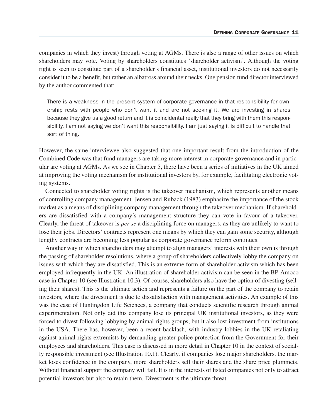companies in which they invest) through voting at AGMs. There is also a range of other issues on which shareholders may vote. Voting by shareholders constitutes 'shareholder activism'. Although the voting right is seen to constitute part of a shareholder's financial asset, institutional investors do not necessarily consider it to be a benefit, but rather an albatross around their necks. One pension fund director interviewed by the author commented that:

There is a weakness in the present system of corporate governance in that responsibility for ownership rests with people who don't want it and are not seeking it. We are investing in shares because they give us a good return and it is coincidental really that they bring with them this responsibility. I am not saying we don't want this responsibility. I am just saying it is difficult to handle that sort of thing.

However, the same interviewee also suggested that one important result from the introduction of the Combined Code was that fund managers are taking more interest in corporate governance and in particular are voting at AGMs. As we see in Chapter 5, there have been a series of initiatives in the UK aimed at improving the voting mechanism for institutional investors by, for example, facilitating electronic voting systems.

Connected to shareholder voting rights is the takeover mechanism, which represents another means of controlling company management. Jensen and Ruback (1983) emphasize the importance of the stock market as a means of disciplining company management through the takeover mechanism. If shareholders are dissatisfied with a company's management structure they can vote in favour of a takeover. Clearly, the threat of takeover is *per se* a disciplining force on managers, as they are unlikely to want to lose their jobs. Directors' contracts represent one means by which they can gain some security, although lengthy contracts are becoming less popular as corporate governance reform continues.

Another way in which shareholders may attempt to align managers' interests with their own is through the passing of shareholder resolutions, where a group of shareholders collectively lobby the company on issues with which they are dissatisfied. This is an extreme form of shareholder activism which has been employed infrequently in the UK. An illustration of shareholder activism can be seen in the BP-Amoco case in Chapter 10 (see Illustration 10.3). Of course, shareholders also have the option of divesting (selling their shares). This is the ultimate action and represents a failure on the part of the company to retain investors, where the divestment is due to dissatisfaction with management activities. An example of this was the case of Huntingdon Life Sciences, a company that conducts scientific research through animal experimentation. Not only did this company lose its principal UK institutional investors, as they were forced to divest following lobbying by animal rights groups, but it also lost investment from institutions in the USA. There has, however, been a recent backlash, with industry lobbies in the UK retaliating against animal rights extremists by demanding greater police protection from the Government for their employees and shareholders. This case is discussed in more detail in Chapter 10 in the context of socially responsible investment (see Illustration 10.1). Clearly, if companies lose major shareholders, the market loses confidence in the company, more shareholders sell their shares and the share price plummets. Without financial support the company will fail. It is in the interests of listed companies not only to attract potential investors but also to retain them. Divestment is the ultimate threat.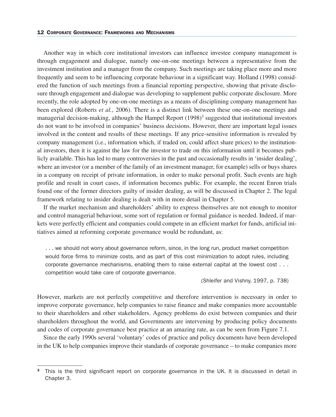Another way in which core institutional investors can influence investee company management is through engagement and dialogue, namely one-on-one meetings between a representative from the investment institution and a manager from the company. Such meetings are taking place more and more frequently and seem to be influencing corporate behaviour in a significant way. Holland (1998) considered the function of such meetings from a financial reporting perspective, showing that private disclosure through engagement and dialogue was developing to supplement public corporate disclosure. More recently, the role adopted by one-on-one meetings as a means of disciplining company management has been explored (Roberts *et al.*, 2006). There is a distinct link between these one-on-one meetings and managerial decision-making, although the Hampel Report  $(1998)^3$  suggested that institutional investors do not want to be involved in companies' business decisions. However, there are important legal issues involved in the content and results of these meetings. If any price-sensitive information is revealed by company management (i.e., information which, if traded on, could affect share prices) to the institutional investors, then it is against the law for the investor to trade on this information until it becomes publicly available. This has led to many controversies in the past and occasionally results in 'insider dealing', where an investor (or a member of the family of an investment manager, for example) sells or buys shares in a company on receipt of private information, in order to make personal profit. Such events are high profile and result in court cases, if information becomes public. For example, the recent Enron trials found one of the former directors guilty of insider dealing, as will be discussed in Chapter 2. The legal framework relating to insider dealing is dealt with in more detail in Chapter 5.

If the market mechanism and shareholders' ability to express themselves are not enough to monitor and control managerial behaviour, some sort of regulation or formal guidance is needed. Indeed, if markets were perfectly efficient and companies could compete in an efficient market for funds, artificial initiatives aimed at reforming corporate governance would be redundant, as:

. . . we should not worry about governance reform, since, in the long run, product market competition would force firms to minimize costs, and as part of this cost minimization to adopt rules, including corporate governance mechanisms, enabling them to raise external capital at the lowest cost . . . competition would take care of corporate governance.

(Shleifer and Vishny, 1997, p. 738)

However, markets are not perfectly competitive and therefore intervention is necessary in order to improve corporate governance, help companies to raise finance and make companies more accountable to their shareholders and other stakeholders. Agency problems do exist between companies and their shareholders throughout the world, and Governments are intervening by producing policy documents and codes of corporate governance best practice at an amazing rate, as can be seen from Figure 7.1.

Since the early 1990s several 'voluntary' codes of practice and policy documents have been developed in the UK to help companies improve their standards of corporate governance – to make companies more

This is the third significant report on corporate governance in the UK. It is discussed in detail in Chapter 3.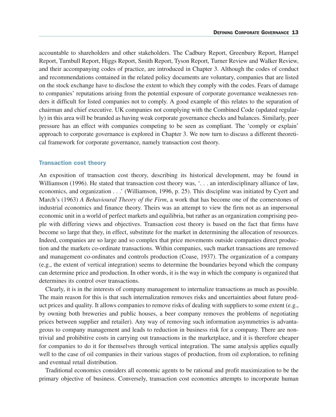accountable to shareholders and other stakeholders. The Cadbury Report, Greenbury Report, Hampel Report, Turnbull Report, Higgs Report, Smith Report, Tyson Report, Turner Review and Walker Review, and their accompanying codes of practice, are introduced in Chapter 3. Although the codes of conduct and recommendations contained in the related policy documents are voluntary, companies that are listed on the stock exchange have to disclose the extent to which they comply with the codes. Fears of damage to companies' reputations arising from the potential exposure of corporate governance weaknesses renders it difficult for listed companies not to comply. A good example of this relates to the separation of chairman and chief executive. UK companies not complying with the Combined Code (updated regularly) in this area will be branded as having weak corporate governance checks and balances. Similarly, peer pressure has an effect with companies competing to be seen as compliant. The 'comply or explain' approach to corporate governance is explored in Chapter 3. We now turn to discuss a different theoretical framework for corporate governance, namely transaction cost theory.

#### Transaction cost theory

An exposition of transaction cost theory, describing its historical development, may be found in Williamson (1996). He stated that transaction cost theory was, '... an interdisciplinary alliance of law, economics, and organization . . .' (Williamson, 1996, p. 25). This discipline was initiated by Cyert and March's (1963) *A Behavioural Theory of the Firm*, a work that has become one of the cornerstones of industrial economics and finance theory. Theirs was an attempt to view the firm not as an impersonal economic unit in a world of perfect markets and equilibria, but rather as an organization comprising people with differing views and objectives. Transaction cost theory is based on the fact that firms have become so large that they, in effect, substitute for the market in determining the allocation of resources. Indeed, companies are so large and so complex that price movements outside companies direct production and the markets co-ordinate transactions. Within companies, such market transactions are removed and management co-ordinates and controls production (Coase, 1937). The organization of a company (e.g., the extent of vertical integration) seems to determine the boundaries beyond which the company can determine price and production. In other words, it is the way in which the company is organized that determines its control over transactions.

Clearly, it is in the interests of company management to internalize transactions as much as possible. The main reason for this is that such internalization removes risks and uncertainties about future product prices and quality. It allows companies to remove risks of dealing with suppliers to some extent (e.g., by owning both breweries and public houses, a beer company removes the problems of negotiating prices between supplier and retailer). Any way of removing such information asymmetries is advantageous to company management and leads to reduction in business risk for a company. There are nontrivial and prohibitive costs in carrying out transactions in the marketplace, and it is therefore cheaper for companies to do it for themselves through vertical integration. The same analysis applies equally well to the case of oil companies in their various stages of production, from oil exploration, to refining and eventual retail distribution.

Traditional economics considers all economic agents to be rational and profit maximization to be the primary objective of business. Conversely, transaction cost economics attempts to incorporate human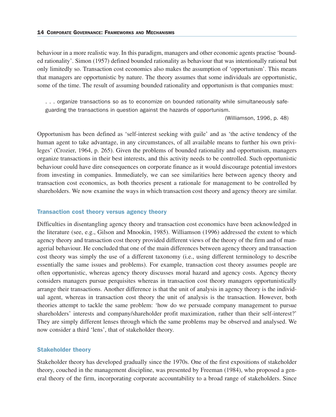behaviour in a more realistic way. In this paradigm, managers and other economic agents practise 'bounded rationality'. Simon (1957) defined bounded rationality as behaviour that was intentionally rational but only limitedly so. Transaction cost economics also makes the assumption of 'opportunism'. This means that managers are opportunistic by nature. The theory assumes that some individuals are opportunistic, some of the time. The result of assuming bounded rationality and opportunism is that companies must:

. . . organize transactions so as to economize on bounded rationality while simultaneously safeguarding the transactions in question against the hazards of opportunism.

(Williamson, 1996, p. 48)

Opportunism has been defined as 'self-interest seeking with guile' and as 'the active tendency of the human agent to take advantage, in any circumstances, of all available means to further his own privileges' (Crozier, 1964, p. 265). Given the problems of bounded rationality and opportunism, managers organize transactions in their best interests, and this activity needs to be controlled. Such opportunistic behaviour could have dire consequences on corporate finance as it would discourage potential investors from investing in companies. Immediately, we can see similarities here between agency theory and transaction cost economics, as both theories present a rationale for management to be controlled by shareholders. We now examine the ways in which transaction cost theory and agency theory are similar.

#### Transaction cost theory versus agency theory

Difficulties in disentangling agency theory and transaction cost economics have been acknowledged in the literature (see, e.g., Gilson and Mnookin, 1985). Williamson (1996) addressed the extent to which agency theory and transaction cost theory provided different views of the theory of the firm and of managerial behaviour. He concluded that one of the main differences between agency theory and transaction cost theory was simply the use of a different taxonomy (i.e., using different terminology to describe essentially the same issues and problems). For example, transaction cost theory assumes people are often opportunistic, whereas agency theory discusses moral hazard and agency costs. Agency theory considers managers pursue perquisites whereas in transaction cost theory managers opportunistically arrange their transactions. Another difference is that the unit of analysis in agency theory is the individual agent, whereas in transaction cost theory the unit of analysis is the transaction. However, both theories attempt to tackle the same problem: 'how do we persuade company management to pursue shareholders' interests and company/shareholder profit maximization, rather than their self-interest?' They are simply different lenses through which the same problems may be observed and analysed. We now consider a third 'lens', that of stakeholder theory.

#### Stakeholder theory

Stakeholder theory has developed gradually since the 1970s. One of the first expositions of stakeholder theory, couched in the management discipline, was presented by Freeman (1984), who proposed a general theory of the firm, incorporating corporate accountability to a broad range of stakeholders. Since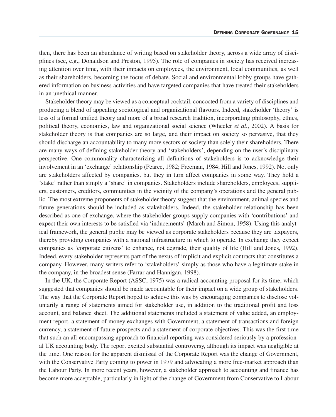then, there has been an abundance of writing based on stakeholder theory, across a wide array of disciplines (see, e.g., Donaldson and Preston, 1995). The role of companies in society has received increasing attention over time, with their impacts on employees, the environment, local communities, as well as their shareholders, becoming the focus of debate. Social and environmental lobby groups have gathered information on business activities and have targeted companies that have treated their stakeholders in an unethical manner.

Stakeholder theory may be viewed as a conceptual cocktail, concocted from a variety of disciplines and producing a blend of appealing sociological and organizational flavours. Indeed, stakeholder 'theory' is less of a formal unified theory and more of a broad research tradition, incorporating philosophy, ethics, political theory, economics, law and organizational social science (Wheeler *et al*., 2002). A basis for stakeholder theory is that companies are so large, and their impact on society so pervasive, that they should discharge an accountability to many more sectors of society than solely their shareholders. There are many ways of defining stakeholder theory and 'stakeholders', depending on the user's disciplinary perspective. One commonality characterizing all definitions of stakeholders is to acknowledge their involvement in an 'exchange' relationship (Pearce, 1982; Freeman, 1984; Hill and Jones, 1992). Not only are stakeholders affected by companies, but they in turn affect companies in some way. They hold a 'stake' rather than simply a 'share' in companies. Stakeholders include shareholders, employees, suppliers, customers, creditors, communities in the vicinity of the company's operations and the general public. The most extreme proponents of stakeholder theory suggest that the environment, animal species and future generations should be included as stakeholders. Indeed, the stakeholder relationship has been described as one of exchange, where the stakeholder groups supply companies with 'contributions' and expect their own interests to be satisfied via 'inducements' (March and Simon, 1958). Using this analytical framework, the general public may be viewed as corporate stakeholders because they are taxpayers, thereby providing companies with a national infrastructure in which to operate. In exchange they expect companies as 'corporate citizens' to enhance, not degrade, their quality of life (Hill and Jones, 1992). Indeed, every stakeholder represents part of the nexus of implicit and explicit contracts that constitutes a company. However, many writers refer to 'stakeholders' simply as those who have a legitimate stake in the company, in the broadest sense (Farrar and Hannigan, 1998).

In the UK, the Corporate Report (ASSC, 1975) was a radical accounting proposal for its time, which suggested that companies should be made accountable for their impact on a wide group of stakeholders. The way that the Corporate Report hoped to achieve this was by encouraging companies to disclose voluntarily a range of statements aimed for stakeholder use, in addition to the traditional profit and loss account, and balance sheet. The additional statements included a statement of value added, an employment report, a statement of money exchanges with Government, a statement of transactions and foreign currency, a statement of future prospects and a statement of corporate objectives. This was the first time that such an all-encompassing approach to financial reporting was considered seriously by a professional UK accounting body. The report excited substantial controversy, although its impact was negligible at the time. One reason for the apparent dismissal of the Corporate Report was the change of Government, with the Conservative Party coming to power in 1979 and advocating a more free-market approach than the Labour Party. In more recent years, however, a stakeholder approach to accounting and finance has become more acceptable, particularly in light of the change of Government from Conservative to Labour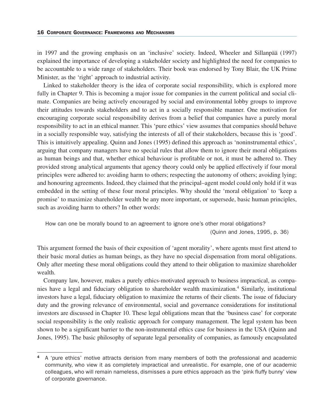in 1997 and the growing emphasis on an 'inclusive' society. Indeed, Wheeler and Sillanpää (1997) explained the importance of developing a stakeholder society and highlighted the need for companies to be accountable to a wide range of stakeholders. Their book was endorsed by Tony Blair, the UK Prime Minister, as the 'right' approach to industrial activity.

Linked to stakeholder theory is the idea of corporate social responsibility, which is explored more fully in Chapter 9. This is becoming a major issue for companies in the current political and social climate. Companies are being actively encouraged by social and environmental lobby groups to improve their attitudes towards stakeholders and to act in a socially responsible manner. One motivation for encouraging corporate social responsibility derives from a belief that companies have a purely moral responsibility to act in an ethical manner. This 'pure ethics' view assumes that companies should behave in a socially responsible way, satisfying the interests of all of their stakeholders, because this is 'good'. This is intuitively appealing. Quinn and Jones (1995) defined this approach as 'noninstrumental ethics', arguing that company managers have no special rules that allow them to ignore their moral obligations as human beings and that, whether ethical behaviour is profitable or not, it must be adhered to. They provided strong analytical arguments that agency theory could only be applied effectively if four moral principles were adhered to: avoiding harm to others; respecting the autonomy of others; avoiding lying; and honouring agreements. Indeed, they claimed that the principal–agent model could only hold if it was embedded in the setting of these four moral principles. Why should the 'moral obligation' to 'keep a promise' to maximize shareholder wealth be any more important, or supersede, basic human principles, such as avoiding harm to others? In other words:

How can one be morally bound to an agreement to ignore one's other moral obligations? (Quinn and Jones, 1995, p. 36)

This argument formed the basis of their exposition of 'agent morality', where agents must first attend to their basic moral duties as human beings, as they have no special dispensation from moral obligations. Only after meeting these moral obligations could they attend to their obligation to maximize shareholder wealth.

Company law, however, makes a purely ethics-motivated approach to business impractical, as companies have a legal and fiduciary obligation to shareholder wealth maximization.4 Similarly, institutional investors have a legal, fiduciary obligation to maximize the returns of their clients. The issue of fiduciary duty and the growing relevance of environmental, social and governance considerations for institutional investors are discussed in Chapter 10. These legal obligations mean that the 'business case' for corporate social responsibility is the only realistic approach for company management. The legal system has been shown to be a significant barrier to the non-instrumental ethics case for business in the USA (Quinn and Jones, 1995). The basic philosophy of separate legal personality of companies, as famously encapsulated

<sup>4</sup> A 'pure ethics' motive attracts derision from many members of both the professional and academic community, who view it as completely impractical and unrealistic. For example, one of our academic colleagues, who will remain nameless, dismisses a pure ethics approach as the 'pink fluffy bunny' view of corporate governance.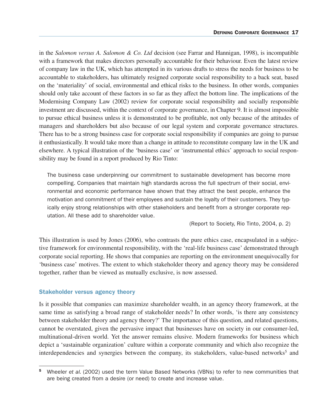in the *Salomon versus A. Salomon & Co. Ltd* decision (see Farrar and Hannigan, 1998), is incompatible with a framework that makes directors personally accountable for their behaviour. Even the latest review of company law in the UK, which has attempted in its various drafts to stress the needs for business to be accountable to stakeholders, has ultimately resigned corporate social responsibility to a back seat, based on the 'materiality' of social, environmental and ethical risks to the business. In other words, companies should only take account of these factors in so far as they affect the bottom line. The implications of the Modernising Company Law (2002) review for corporate social responsibility and socially responsible investment are discussed, within the context of corporate governance, in Chapter 9. It is almost impossible to pursue ethical business unless it is demonstrated to be profitable, not only because of the attitudes of managers and shareholders but also because of our legal system and corporate governance structures. There has to be a strong business case for corporate social responsibility if companies are going to pursue it enthusiastically. It would take more than a change in attitude to reconstitute company law in the UK and elsewhere. A typical illustration of the 'business case' or 'instrumental ethics' approach to social responsibility may be found in a report produced by Rio Tinto:

The business case underpinning our commitment to sustainable development has become more compelling. Companies that maintain high standards across the full spectrum of their social, environmental and economic performance have shown that they attract the best people, enhance the motivation and commitment of their employees and sustain the loyalty of their customers. They typically enjoy strong relationships with other stakeholders and benefit from a stronger corporate reputation. All these add to shareholder value.

(Report to Society, Rio Tinto, 2004, p. 2)

This illustration is used by Jones (2006), who contrasts the pure ethics case, encapsulated in a subjective framework for environmental responsibility, with the 'real-life business case' demonstrated through corporate social reporting. He shows that companies are reporting on the environment unequivocally for 'business case' motives. The extent to which stakeholder theory and agency theory may be considered together, rather than be viewed as mutually exclusive, is now assessed.

#### Stakeholder versus agency theory

Is it possible that companies can maximize shareholder wealth, in an agency theory framework, at the same time as satisfying a broad range of stakeholder needs? In other words, 'is there any consistency between stakeholder theory and agency theory?' The importance of this question, and related questions, cannot be overstated, given the pervasive impact that businesses have on society in our consumer-led, multinational-driven world. Yet the answer remains elusive. Modern frameworks for business which depict a 'sustainable organization' culture within a corporate community and which also recognize the interdependencies and synergies between the company, its stakeholders, value-based networks<sup>5</sup> and

<sup>5</sup> Wheeler *et al.* (2002) used the term Value Based Networks (VBNs) to refer to new communities that are being created from a desire (or need) to create and increase value.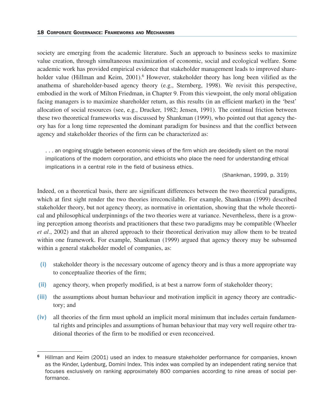society are emerging from the academic literature. Such an approach to business seeks to maximize value creation, through simultaneous maximization of economic, social and ecological welfare. Some academic work has provided empirical evidence that stakeholder management leads to improved shareholder value (Hillman and Keim, 2001).<sup>6</sup> However, stakeholder theory has long been vilified as the anathema of shareholder-based agency theory (e.g., Sternberg, 1998). We revisit this perspective, embodied in the work of Milton Friedman, in Chapter 9. From this viewpoint, the only moral obligation facing managers is to maximize shareholder return, as this results (in an efficient market) in the 'best' allocation of social resources (see, e.g., Drucker, 1982; Jensen, 1991). The continual friction between these two theoretical frameworks was discussed by Shankman (1999), who pointed out that agency theory has for a long time represented the dominant paradigm for business and that the conflict between agency and stakeholder theories of the firm can be characterized as:

. . . an ongoing struggle between economic views of the firm which are decidedly silent on the moral implications of the modern corporation, and ethicists who place the need for understanding ethical implications in a central role in the field of business ethics.

(Shankman, 1999, p. 319)

Indeed, on a theoretical basis, there are significant differences between the two theoretical paradigms, which at first sight render the two theories irreconcilable. For example, Shankman (1999) described stakeholder theory, but not agency theory, as normative in orientation, showing that the whole theoretical and philosophical underpinnings of the two theories were at variance. Nevertheless, there is a growing perception among theorists and practitioners that these two paradigms may be compatible (Wheeler *et al*., 2002) and that an altered approach to their theoretical derivation may allow them to be treated within one framework. For example, Shankman (1999) argued that agency theory may be subsumed within a general stakeholder model of companies, as:

- (i) stakeholder theory is the necessary outcome of agency theory and is thus a more appropriate way to conceptualize theories of the firm;
- (ii) agency theory, when properly modified, is at best a narrow form of stakeholder theory;
- (iii) the assumptions about human behaviour and motivation implicit in agency theory are contradictory; and
- (iv) all theories of the firm must uphold an implicit moral minimum that includes certain fundamental rights and principles and assumptions of human behaviour that may very well require other traditional theories of the firm to be modified or even reconceived.

<sup>6</sup> Hillman and Keim (2001) used an index to measure stakeholder performance for companies, known as the Kinder, Lydenburg, Domini Index. This index was compiled by an independent rating service that focuses exclusively on ranking approximately 800 companies according to nine areas of social performance.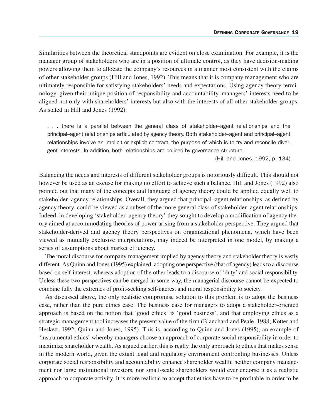Similarities between the theoretical standpoints are evident on close examination. For example, it is the manager group of stakeholders who are in a position of ultimate control, as they have decision-making powers allowing them to allocate the company's resources in a manner most consistent with the claims of other stakeholder groups (Hill and Jones, 1992). This means that it is company management who are ultimately responsible for satisfying stakeholders' needs and expectations. Using agency theory terminology, given their unique position of responsibility and accountability, managers' interests need to be aligned not only with shareholders' interests but also with the interests of all other stakeholder groups. As stated in Hill and Jones (1992):

. . . there is a parallel between the general class of stakeholder–agent relationships and the principal–agent relationships articulated by agency theory. Both stakeholder–agent and principal–agent relationships involve an implicit or explicit contract, the purpose of which is to try and reconcile divergent interests. In addition, both relationships are policed by governance structure.

(Hill and Jones, 1992, p. 134)

Balancing the needs and interests of different stakeholder groups is notoriously difficult. This should not however be used as an excuse for making no effort to achieve such a balance. Hill and Jones (1992) also pointed out that many of the concepts and language of agency theory could be applied equally well to stakeholder–agency relationships. Overall, they argued that principal–agent relationships, as defined by agency theory, could be viewed as a subset of the more general class of stakeholder–agent relationships. Indeed, in developing 'stakeholder–agency theory' they sought to develop a modification of agency theory aimed at accommodating theories of power arising from a stakeholder perspective. They argued that stakeholder-derived and agency theory perspectives on organizational phenomena, which have been viewed as mutually exclusive interpretations, may indeed be interpreted in one model, by making a series of assumptions about market efficiency.

The moral discourse for company management implied by agency theory and stakeholder theory is vastly different. As Quinn and Jones (1995) explained, adopting one perspective (that of agency) leads to a discourse based on self-interest, whereas adoption of the other leads to a discourse of 'duty' and social responsibility. Unless these two perspectives can be merged in some way, the managerial discourse cannot be expected to combine fully the extremes of profit-seeking self-interest and moral responsibility to society.

As discussed above, the only realistic compromise solution to this problem is to adopt the business case, rather than the pure ethics case. The business case for managers to adopt a stakeholder-oriented approach is based on the notion that 'good ethics' is 'good business', and that employing ethics as a strategic management tool increases the present value of the firm (Blanchard and Peale, 1988; Kotter and Heskett, 1992; Quinn and Jones, 1995). This is, according to Quinn and Jones (1995), an example of 'instrumental ethics' whereby managers choose an approach of corporate social responsibility in order to maximize shareholder wealth. As argued earlier, this is really the only approach to ethics that makes sense in the modern world, given the extant legal and regulatory environment confronting businesses. Unless corporate social responsibility and accountability enhance shareholder wealth, neither company management nor large institutional investors, nor small-scale shareholders would ever endorse it as a realistic approach to corporate activity. It is more realistic to accept that ethics have to be profitable in order to be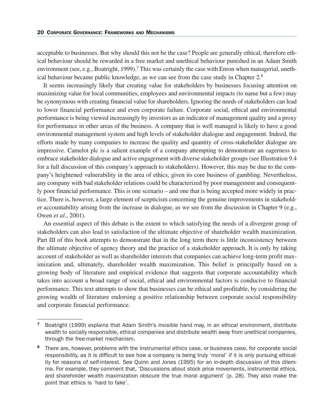acceptable to businesses. But why should this not be the case? People are generally ethical, therefore ethical behaviour should be rewarded in a free market and unethical behaviour punished in an Adam Smith environment (see, e.g., Boatright, 1999).<sup>7</sup> This was certainly the case with Enron when managerial, unethical behaviour became public knowledge, as we can see from the case study in Chapter  $2<sup>8</sup>$ 

It seems increasingly likely that creating value for stakeholders by businesses focusing attention on maximizing value for local communities, employees and environmental impacts (to name but a few) may be synonymous with creating financial value for shareholders. Ignoring the needs of stakeholders can lead to lower financial performance and even corporate failure. Corporate social, ethical and environmental performance is being viewed increasingly by investors as an indicator of management quality and a proxy for performance in other areas of the business. A company that is well managed is likely to have a good environmental management system and high levels of stakeholder dialogue and engagement. Indeed, the efforts made by many companies to increase the quality and quantity of cross-stakeholder dialogue are impressive. Camelot plc is a salient example of a company attempting to demonstrate an eagerness to embrace stakeholder dialogue and active engagement with diverse stakeholder groups (see Illustration 9.4 for a full discussion of this company's approach to stakeholders). However, this may be due to the company's heightened vulnerability in the area of ethics, given its core business of gambling. Nevertheless, any company with bad stakeholder relations could be characterized by poor management and consequently poor financial performance. This is one scenario – and one that is being accepted more widely in practice. There is, however, a large element of scepticism concerning the genuine improvements in stakeholder accountability arising from the increase in dialogue, as we see from the discussion in Chapter 9 (e.g., Owen *et al*., 2001).

An essential aspect of this debate is the extent to which satisfying the needs of a divergent group of stakeholders can also lead to satisfaction of the ultimate objective of shareholder wealth maximization. Part III of this book attempts to demonstrate that in the long term there is little inconsistency between the ultimate objective of agency theory and the practice of a stakeholder approach. It is only by taking account of stakeholder as well as shareholder interests that companies can achieve long-term profit maximization and, ultimately, shareholder wealth maximization. This belief is principally based on a growing body of literature and empirical evidence that suggests that corporate accountability which takes into account a broad range of social, ethical and environmental factors is conducive to financial performance. This text attempts to show that businesses can be ethical and profitable, by considering the growing wealth of literature endorsing a positive relationship between corporate social responsibility and corporate financial performance.

<sup>7</sup> Boatright (1999) explains that Adam Smith's invisible hand may, in an ethical environment, distribute wealth to socially responsible, ethical companies and distribute wealth away from unethical companies, through the free-market mechanism.

<sup>&</sup>lt;sup>8</sup> There are, however, problems with the instrumental ethics case, or business case, for corporate social responsibility, as it is difficult to see how a company is being truly 'moral' if it is only pursuing ethicality for reasons of self-interest. See Quinn and Jones (1995) for an in-depth discussion of this dilemma. For example, they comment that, 'Discussions about stock price movements, instrumental ethics, and shareholder wealth maximization obscure the true moral argument' (p. 28). They also make the point that ethics is 'hard to fake'.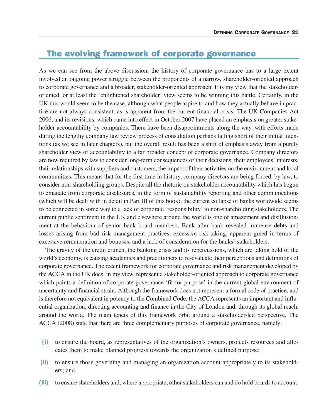## The evolving framework of corporate governance

As we can see from the above discussion, the history of corporate governance has to a large extent involved an ongoing power struggle between the proponents of a narrow, shareholder-oriented approach to corporate governance and a broader, stakeholder-oriented approach. It is my view that the stakeholderoriented, or at least the 'enlightened shareholder' view seems to be winning this battle. Certainly, in the UK this would seem to be the case, although what people aspire to and how they actually behave in practice are not always consistent, as is apparent from the current financial crisis. The UK Companies Act 2006, and its revisions, which came into effect in October 2007 have placed an emphasis on greater stakeholder accountability by companies. There have been disappointments along the way, with efforts made during the lengthy company law review process of consultation perhaps falling short of their initial intentions (as we see in later chapters), but the overall result has been a shift of emphasis away from a purely shareholder view of accountability to a far broader concept of corporate governance. Company directors are now required by law to consider long-term consequences of their decisions, their employees' interests, their relationships with suppliers and customers, the impact of their activities on the environment and local communities. This means that for the first time in history, company directors are being forced, by law, to consider non-shareholding groups. Despite all the rhetoric on stakeholder accountability which has begun to emanate from corporate disclosures, in the form of sustainability reporting and other communications (which will be dealt with in detail in Part III of this book), the current collapse of banks worldwide seems to be connected in some way to a lack of corporate 'responsibility' to non-shareholding stakeholders. The current public sentiment in the UK and elsewhere around the world is one of amazement and disillusionment at the behaviour of senior bank board members. Bank after bank revealed immense debts and losses arising from bad risk management practices, excessive risk-taking, apparent greed in terms of excessive remuneration and bonuses, and a lack of consideration for the banks' stakeholders.

The gravity of the credit crunch, the banking crisis and its repercussions, which are taking hold of the world's economy, is causing academics and practitioners to re-evaluate their perceptions and definitions of corporate governance. The recent framework for corporate governance and risk management developed by the ACCA in the UK does, in my view, represent a stakeholder-oriented approach to corporate governance which paints a definition of corporate governance 'fit for purpose' in the current global environment of uncertainty and financial strain. Although the framework does not represent a formal code of practice, and is therefore not equivalent in potency to the Combined Code, the ACCA represents an important and influential organization, directing accounting and finance in the City of London and, through its global reach, around the world. The main tenets of this framework orbit around a stakeholder-led perspective. The ACCA (2008) state that there are three complementary purposes of corporate governance, namely:

- (i) to ensure the board, as representatives of the organization's owners, protects resources and allocates them to make planned progress towards the organization's defined purpose;
- (ii) to ensure those governing and managing an organization account appropriately to its stakeholders; and
- (iii) to ensure shareholders and, where appropriate, other stakeholders can and do hold boards to account.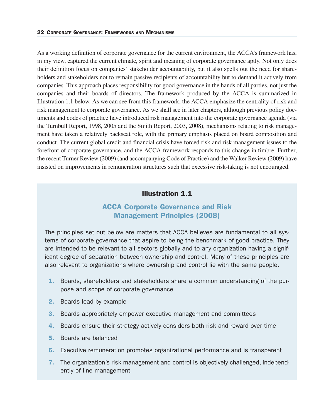As a working definition of corporate governance for the current environment, the ACCA's framework has, in my view, captured the current climate, spirit and meaning of corporate governance aptly. Not only does their definition focus on companies' stakeholder accountability, but it also spells out the need for shareholders and stakeholders not to remain passive recipients of accountability but to demand it actively from companies. This approach places responsibility for good governance in the hands of all parties, not just the companies and their boards of directors. The framework produced by the ACCA is summarized in Illustration 1.1 below. As we can see from this framework, the ACCA emphasize the centrality of risk and risk management to corporate governance. As we shall see in later chapters, although previous policy documents and codes of practice have introduced risk management into the corporate governance agenda (via the Turnbull Report, 1998, 2005 and the Smith Report, 2003, 2008), mechanisms relating to risk management have taken a relatively backseat role, with the primary emphasis placed on board composition and conduct. The current global credit and financial crisis have forced risk and risk management issues to the forefront of corporate governance, and the ACCA framework responds to this change in timbre. Further, the recent Turner Review (2009) (and accompanying Code of Practice) and the Walker Review (2009) have insisted on improvements in remuneration structures such that excessive risk-taking is not encouraged.

### Illustration 1.1

## ACCA Corporate Governance and Risk Management Principles (2008)

The principles set out below are matters that ACCA believes are fundamental to all systems of corporate governance that aspire to being the benchmark of good practice. They are intended to be relevant to all sectors globally and to any organization having a significant degree of separation between ownership and control. Many of these principles are also relevant to organizations where ownership and control lie with the same people.

- 1. Boards, shareholders and stakeholders share a common understanding of the purpose and scope of corporate governance
- 2. Boards lead by example
- 3. Boards appropriately empower executive management and committees
- 4. Boards ensure their strategy actively considers both risk and reward over time
- 5. Boards are balanced
- 6. Executive remuneration promotes organizational performance and is transparent
- 7. The organization's risk management and control is objectively challenged, independently of line management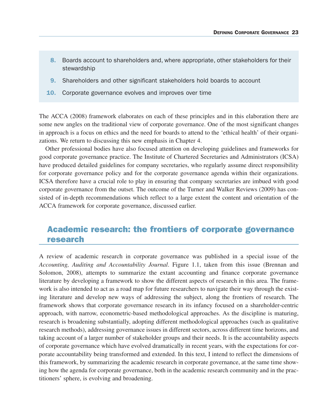- 8. Boards account to shareholders and, where appropriate, other stakeholders for their stewardship
- 9. Shareholders and other significant stakeholders hold boards to account
- 10. Corporate governance evolves and improves over time

The ACCA (2008) framework elaborates on each of these principles and in this elaboration there are some new angles on the traditional view of corporate governance. One of the most significant changes in approach is a focus on ethics and the need for boards to attend to the 'ethical health' of their organizations. We return to discussing this new emphasis in Chapter 4.

Other professional bodies have also focused attention on developing guidelines and frameworks for good corporate governance practice. The Institute of Chartered Secretaries and Administrators (ICSA) have produced detailed guidelines for company secretaries, who regularly assume direct responsibility for corporate governance policy and for the corporate governance agenda within their organizations. ICSA therefore have a crucial role to play in ensuring that company secretaries are imbued with good corporate governance from the outset. The outcome of the Turner and Walker Reviews (2009) has consisted of in-depth recommendations which reflect to a large extent the content and orientation of the ACCA framework for corporate governance, discussed earlier.

# Academic research: the frontiers of corporate governance research

A review of academic research in corporate governance was published in a special issue of the *Accounting, Auditing and Accountability Journal*. Figure 1.1, taken from this issue (Brennan and Solomon, 2008), attempts to summarize the extant accounting and finance corporate governance literature by developing a framework to show the different aspects of research in this area. The framework is also intended to act as a road map for future researchers to navigate their way through the existing literature and develop new ways of addressing the subject, along the frontiers of research. The framework shows that corporate governance research in its infancy focused on a shareholder-centric approach, with narrow, econometric-based methodological approaches. As the discipline is maturing, research is broadening substantially, adopting different methodological approaches (such as qualitative research methods), addressing governance issues in different sectors, across different time horizons, and taking account of a larger number of stakeholder groups and their needs. It is the accountability aspects of corporate governance which have evolved dramatically in recent years, with the expectations for corporate accountability being transformed and extended. In this text, I intend to reflect the dimensions of this framework, by summarizing the academic research in corporate governance, at the same time showing how the agenda for corporate governance, both in the academic research community and in the practitioners' sphere, is evolving and broadening.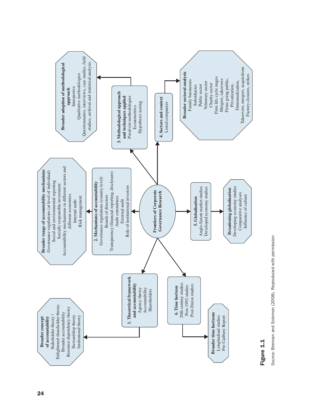

# Figure 1.1 Figure 1.1

Source: Brennan and Solomon (2008). Reproduced with permission *Source:* Brennan and Solomon (2008). Reproduced with permission